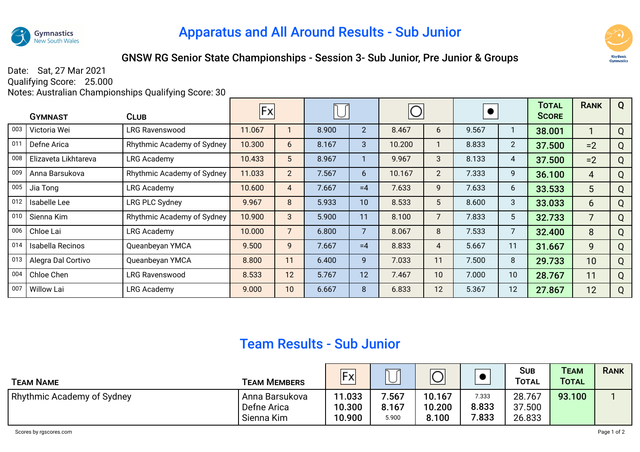

## Apparatus and All Around Results - Sub Junior



## GNSW RG Senior State Championships - Session 3- Sub Junior, Pre Junior & Groups

Date: Sat, 27 Mar 2021 Qualifying Score: 25.000

Notes: Australian Championships Qualifying Score: 30

|     | <b>GYMNAST</b>       | <b>CLUB</b>                | <b>Fx</b> |                |       |                | $\bigcirc$ |                |       |                 | <b>TOTAL</b><br><b>SCORE</b> | <b>RANK</b>    | Q |
|-----|----------------------|----------------------------|-----------|----------------|-------|----------------|------------|----------------|-------|-----------------|------------------------------|----------------|---|
| 003 | Victoria Wei         | LRG Ravenswood             | 11.067    |                | 8.900 | $\overline{2}$ | 8.467      | 6              | 9.567 |                 | 38.001                       |                | Q |
| 011 | Defne Arica          | Rhythmic Academy of Sydney | 10.300    | 6              | 8.167 | 3              | 10.200     |                | 8.833 | $\overline{2}$  | 37.500                       | $=2$           | Q |
| 008 | Elizaveta Likhtareva | <b>LRG Academy</b>         | 10.433    | 5 <sup>5</sup> | 8.967 |                | 9.967      | 3              | 8.133 | 4               | 37.500                       | $=2$           | Q |
| 009 | Anna Barsukova       | Rhythmic Academy of Sydney | 11.033    | $2^{\circ}$    | 7.567 | 6              | 10.167     | $\overline{2}$ | 7.333 | 9               | 36.100                       | 4              | Q |
| 005 | Jia Tong             | LRG Academy                | 10.600    | 4              | 7.667 | $=4$           | 7.633      | 9              | 7.633 | 6               | 33.533                       | 5 <sup>5</sup> | Q |
| 012 | Isabelle Lee         | LRG PLC Sydney             | 9.967     | 8              | 5.933 | 10             | 8.533      | 5              | 8.600 | 3               | 33.033                       | 6              | Q |
| 010 | Sienna Kim           | Rhythmic Academy of Sydney | 10.900    | 3              | 5.900 | 11             | 8.100      | 7              | 7.833 | $5\phantom{.0}$ | 32.733                       | $\overline{7}$ | Q |
| 006 | Chloe Lai            | <b>LRG Academy</b>         | 10.000    | $\overline{7}$ | 6.800 | $\overline{7}$ | 8.067      | 8              | 7.533 | $\overline{7}$  | 32.400                       | 8              | Q |
| 014 | Isabella Recinos     | Queanbeyan YMCA            | 9.500     | 9              | 7.667 | $=4$           | 8.833      | 4              | 5.667 | 11              | 31.667                       | 9              | Q |
| 013 | Alegra Dal Cortivo   | Queanbeyan YMCA            | 8.800     | 11             | 6.400 | 9              | 7.033      | 11             | 7.500 | 8               | 29.733                       | 10             | Q |
| 004 | Chloe Chen           | <b>LRG Ravenswood</b>      | 8.533     | 12             | 5.767 | 12             | 7.467      | 10             | 7.000 | 10              | 28.767                       | 11             | Q |
| 007 | <b>Willow Lai</b>    | <b>LRG Academy</b>         | 9.000     | 10             | 6.667 | 8              | 6.833      | 12             | 5.367 | 12              | 27.867                       | 12             | Q |

## Team Results - Sub Junior

| <b>TEAM NAME</b>                  | <b>TEAM MEMBERS</b>           | <b>Fx</b>        | $\widetilde{\phantom{a}}$ | $\check{ }$      |                 | Sub<br><b>TOTAL</b> | <b>TEAM</b><br><b>TOTAL</b> | <b>RANK</b> |
|-----------------------------------|-------------------------------|------------------|---------------------------|------------------|-----------------|---------------------|-----------------------------|-------------|
| <b>Rhythmic Academy of Sydney</b> | Anna Barsukova<br>Defne Arica | 11.033<br>10.300 | 7.567<br>8.167            | 10.167<br>10.200 | 7.333<br>8.833  | 28.767<br>37.500    | 93.100                      |             |
|                                   | Sienna Kim                    | 10.900           | 5.900                     | 8.100            | $^{\prime}.833$ | 26.833              |                             |             |